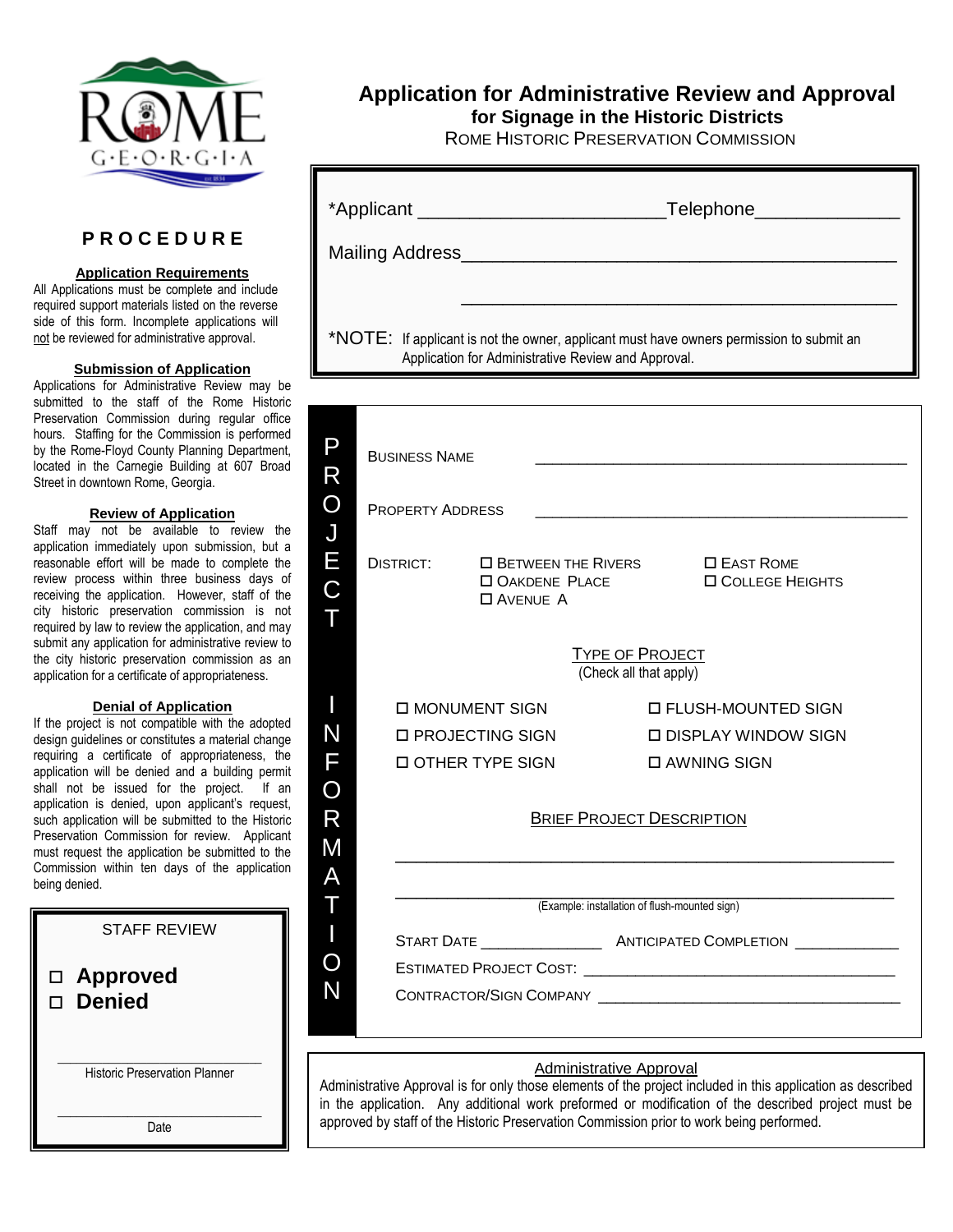

# **P R O C E D U R E**

## **Application Requirements**

All Applications must be complete and include required support materials listed on the reverse side of this form. Incomplete applications will not be reviewed for administrative approval.

## **Submission of Application**

Applications for Administrative Review may be submitted to the staff of the Rome Historic Preservation Commission during regular office hours. Staffing for the Commission is performed by the Rome-Floyd County Planning Department, located in the Carnegie Building at 607 Broad Street in downtown Rome, Georgia.

# **Review of Application**

Staff may not be available to review the application immediately upon submission, but a reasonable effort will be made to complete the review process within three business days of receiving the application. However, staff of the city historic preservation commission is not required by law to review the application, and may submit any application for administrative review to the city historic preservation commission as an application for a certificate of appropriateness.

### **Denial of Application**

If the project is not compatible with the adopted design guidelines or constitutes a material change requiring a certificate of appropriateness, the application will be denied and a building permit shall not be issued for the project. If an application is denied, upon applicant's request, such application will be submitted to the Historic Preservation Commission for review. Applicant must request the application be submitted to the Commission within ten days of the application being denied.

| <b>STAFF REVIEW</b>                  |
|--------------------------------------|
| □ Approved<br>□ Denied               |
| <b>Historic Preservation Planner</b> |
| Date                                 |

# **Application for Administrative Review and Approval**

**for Signage in the Historic Districts**

ROME HISTORIC PRESERVATION COMMISSION

|                                                                                                                                                 | *Applicant ______________________________<br>_Telephone_____                                  |                                                  |  |  |  |
|-------------------------------------------------------------------------------------------------------------------------------------------------|-----------------------------------------------------------------------------------------------|--------------------------------------------------|--|--|--|
| Mailing Address_<br><u> 1989 - Johann John Stone, mars eta bernaren 1980 - Johann Stone, marrar eta bat eta bat eta bat erroman eta </u>        |                                                                                               |                                                  |  |  |  |
|                                                                                                                                                 |                                                                                               |                                                  |  |  |  |
| *NOTE: If applicant is not the owner, applicant must have owners permission to submit an<br>Application for Administrative Review and Approval. |                                                                                               |                                                  |  |  |  |
|                                                                                                                                                 |                                                                                               |                                                  |  |  |  |
| P<br>R                                                                                                                                          | <b>BUSINESS NAME</b>                                                                          |                                                  |  |  |  |
| $\mathbf O$<br>$\overline{\mathsf{J}}$                                                                                                          | <b>PROPERTY ADDRESS</b>                                                                       |                                                  |  |  |  |
| E<br>$\overline{C}$<br>Τ                                                                                                                        | <b>DISTRICT:</b><br>$\square$ BETWEEN THE RIVERS<br><b>OAKDENE PLACE</b><br><b>O AVENUE A</b> | $\square$ East Rome<br><b>O COLLEGE HEIGHTS</b>  |  |  |  |
|                                                                                                                                                 |                                                                                               | <b>TYPE OF PROJECT</b><br>(Check all that apply) |  |  |  |
|                                                                                                                                                 | <b>D MONUMENT SIGN</b>                                                                        | <b>D FLUSH-MOUNTED SIGN</b>                      |  |  |  |
| N                                                                                                                                               | □ PROJECTING SIGN                                                                             | □ DISPLAY WINDOW SIGN                            |  |  |  |
| F                                                                                                                                               | <b>DOTHER TYPE SIGN</b>                                                                       | □ AWNING SIGN                                    |  |  |  |
| O                                                                                                                                               |                                                                                               |                                                  |  |  |  |
| R                                                                                                                                               | <b>BRIEF PROJECT DESCRIPTION</b>                                                              |                                                  |  |  |  |
| M                                                                                                                                               |                                                                                               |                                                  |  |  |  |
|                                                                                                                                                 |                                                                                               |                                                  |  |  |  |
|                                                                                                                                                 | (Example: installation of flush-mounted sign)                                                 |                                                  |  |  |  |
|                                                                                                                                                 |                                                                                               |                                                  |  |  |  |
|                                                                                                                                                 |                                                                                               |                                                  |  |  |  |
|                                                                                                                                                 |                                                                                               |                                                  |  |  |  |
| <b>Administrative Approval</b>                                                                                                                  |                                                                                               |                                                  |  |  |  |

Administrative Approval is for only those elements of the project included in this application as described in the application. Any additional work preformed or modification of the described project must be approved by staff of the Historic Preservation Commission prior to work being performed.